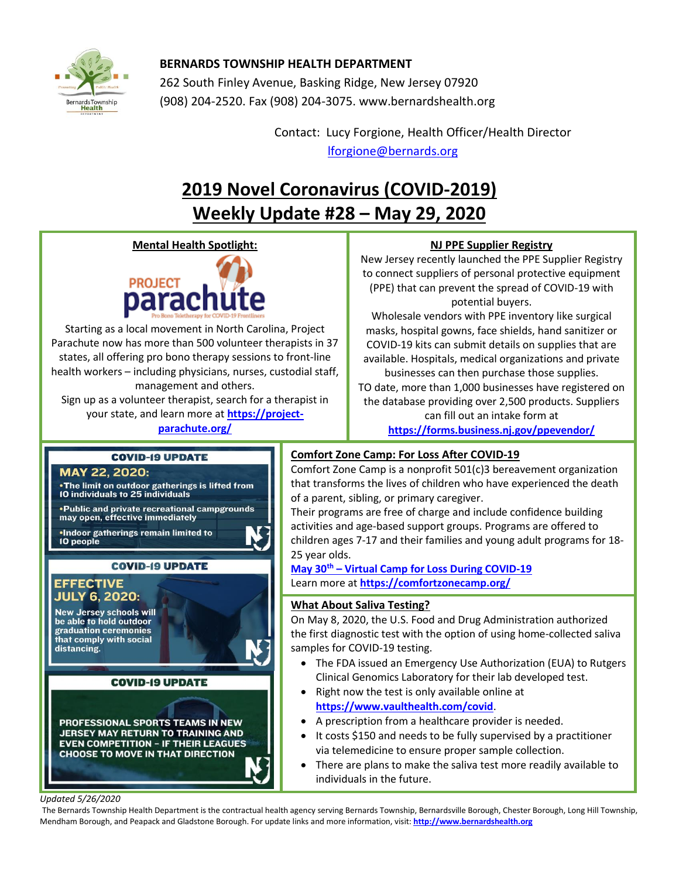

# **BERNARDS TOWNSHIP HEALTH DEPARTMENT**

262 South Finley Avenue, Basking Ridge, New Jersey 07920 (908) 204-2520. Fax (908) 204-3075[. www.bernardshealth.org](http://www.bernardshealth.org/)

> Contact: Lucy Forgione, Health Officer/Health Director [lforgione@bernards.org](mailto:lforgione@bernards.org)

# **2019 Novel Coronavirus (COVID-2019) Weekly Update #28 – May 29, 2020**

**Mental Health Spotlight:**



Starting as a local movement in North Carolina, Project Parachute now has more than 500 volunteer therapists in 37 states, all offering pro bono therapy sessions to front-line health workers – including physicians, nurses, custodial staff, management and others.

Sign up as a volunteer therapist, search for a therapist in your state, and learn more at **[https://project](https://project-parachute.org/)[parachute.org/](https://project-parachute.org/)**

## **NJ PPE Supplier Registry**

New Jersey recently launched the PPE Supplier Registry to connect suppliers of personal protective equipment (PPE) that can prevent the spread of COVID-19 with potential buyers.

Wholesale vendors with PPE inventory like surgical masks, hospital gowns, face shields, hand sanitizer or COVID-19 kits can submit details on supplies that are available. Hospitals, medical organizations and private businesses can then purchase those supplies.

TO date, more than 1,000 businesses have registered on the database providing over 2,500 products. Suppliers can fill out an intake form at **<https://forms.business.nj.gov/ppevendor/>**

## **COVID-19 UPDATE**

## MAY 22, 2020: . The limit on outdoor gatherings is lifted from 10 individuals to 25 individuals • Public and private recreational campgrounds may open, effective immediately .Indoor gatherings remain limited to 10 people **COVID-19 UPDATE**

## **EFFECTIVE JULY 6, 2020:**

**New Jersey schools will** be able to hold outdoor graduation ceremonies that comply with social distancing.

### **COVID-19 UPDATE**

PROFESSIONAL SPORTS TEAMS IN NEW **JERSEY MAY RETURN TO TRAINING AND EVEN COMPETITION - IF THEIR LEAGUES CHOOSE TO MOVE IN THAT DIRECTION** 

## **Comfort Zone Camp: For Loss After COVID-19**

Comfort Zone Camp is a nonprofit 501(c)3 bereavement organization that transforms the lives of children who have experienced the death of a parent, sibling, or primary caregiver.

Their programs are free of charge and include confidence building activities and age-based support groups. Programs are offered to children ages 7-17 and their families and young adult programs for 18- 25 year olds.

**May 30th – [Virtual Camp for Loss During COVID-19](https://comfortzonecamp.org/calendar/)** Learn more at **<https://comfortzonecamp.org/>**

## **What About Saliva Testing?**

On May 8, 2020, the U.S. Food and Drug Administration authorized the first diagnostic test with the option of using home-collected saliva samples for COVID-19 testing.

- The FDA issued an Emergency Use Authorization (EUA) to Rutgers Clinical Genomics Laboratory for their lab developed test.
- Right now the test is only available online at **<https://www.vaulthealth.com/covid>**.
- A prescription from a healthcare provider is needed.
- It costs \$150 and needs to be fully supervised by a practitioner via telemedicine to ensure proper sample collection.
- There are plans to make the saliva test more readily available to individuals in the future.

#### *Updated 5/26/2020*

The Bernards Township Health Department is the contractual health agency serving Bernards Township, Bernardsville Borough, Chester Borough, Long Hill Township, Mendham Borough, and Peapack and Gladstone Borough. For update links and more information, visit: **[http://www.bernardshealth.org](http://www.bernardshealth.org/)**